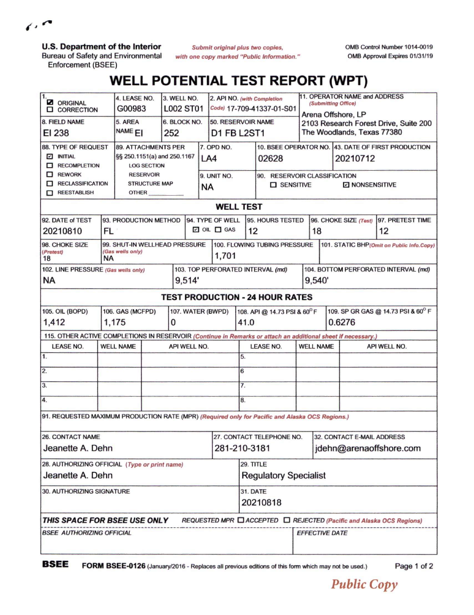$\epsilon$ 

**U.S. Department of the Interior**

Bureau of Safety and Environmental Enforcement (BSEE)

*Submit original plus two copies, with one copy marked "Public Information.'* OMB Control Number 1014-0019 OMB Approval Expires 01/31/19

## **WELL POTENTIAL TEST REPORT (WPT)**

| $\mathbf{1}$<br><b>Z</b> ORIGINAL<br><b>Q</b> CORRECTION                                                                      |                                       | 4. LEASE NO.<br>3. WELL NO.<br>G00983<br><b>L002 ST01</b> |  |              |                             |                                   | 2. API NO. (with Completion<br>Code) 17-709-41337-01-S01 |                              | 11. OPERATOR NAME and ADDRESS<br>(Submitting Office) |                         |                                                                     |          |              |  |  |  |
|-------------------------------------------------------------------------------------------------------------------------------|---------------------------------------|-----------------------------------------------------------|--|--------------|-----------------------------|-----------------------------------|----------------------------------------------------------|------------------------------|------------------------------------------------------|-------------------------|---------------------------------------------------------------------|----------|--------------|--|--|--|
| 8. FIELD NAME                                                                                                                 |                                       | 5. AREA                                                   |  | 6. BLOCK NO. |                             | 50. RESERVOIR NAME                |                                                          |                              |                                                      | Arena Offshore, LP      |                                                                     |          |              |  |  |  |
| EI 238                                                                                                                        |                                       | NAME <sub>EI</sub><br>252                                 |  |              |                             | D1 FB L2ST1                       |                                                          |                              |                                                      |                         | 2103 Research Forest Drive, Suite 200<br>The Woodlands, Texas 77380 |          |              |  |  |  |
| 88. TYPE OF REQUEST                                                                                                           | <b>89. ATTACHMENTS PER</b>            |                                                           |  |              |                             | 7. OPD NO.                        |                                                          |                              |                                                      |                         | 10. BSEE OPERATOR NO. 43. DATE OF FIRST PRODUCTION                  |          |              |  |  |  |
| <b>Z INITIAL</b>                                                                                                              | §§ 250.1151(a) and 250.1167           |                                                           |  |              | LA4                         |                                   |                                                          | 02628                        |                                                      |                         |                                                                     | 20210712 |              |  |  |  |
| RECOMPLETION                                                                                                                  | <b>LOG SECTION</b>                    |                                                           |  |              |                             |                                   |                                                          |                              |                                                      |                         |                                                                     |          |              |  |  |  |
| $\Box$ REWORK                                                                                                                 |                                       | <b>RESERVOIR</b>                                          |  |              |                             |                                   | 9. UNIT NO.                                              |                              | 90. RESERVOIR CLASSIFICATION                         |                         |                                                                     |          |              |  |  |  |
| RECLASSIFICATION                                                                                                              |                                       | <b>STRUCTURE MAP</b>                                      |  |              |                             |                                   | <b>NA</b>                                                |                              | <b>O</b> SENSITIVE<br><b>D</b> NONSENSITIVE          |                         |                                                                     |          |              |  |  |  |
| REESTABLISH<br>OTHER                                                                                                          |                                       |                                                           |  |              |                             |                                   |                                                          |                              |                                                      |                         |                                                                     |          |              |  |  |  |
| <b>WELL TEST</b>                                                                                                              |                                       |                                                           |  |              |                             |                                   |                                                          |                              |                                                      |                         |                                                                     |          |              |  |  |  |
| 93. PRODUCTION METHOD<br>92. DATE of TEST                                                                                     |                                       |                                                           |  |              |                             | 94. TYPE OF WELL                  |                                                          |                              | 95. HOURS TESTED                                     |                         | 96. CHOKE SIZE (Test)<br>97. PRETEST TIME                           |          |              |  |  |  |
| 20210810                                                                                                                      | FL:                                   |                                                           |  |              | $\square$ OIL $\square$ GAS |                                   |                                                          | 12                           |                                                      | 18<br>12                |                                                                     |          |              |  |  |  |
| 98. CHOKE SIZE<br>99. SHUT-IN WELLHEAD PRESSURE<br>100. FLOWING TUBING PRESSURE<br>101. STATIC BHP (Omit on Public Info.Copy) |                                       |                                                           |  |              |                             |                                   |                                                          |                              |                                                      |                         |                                                                     |          |              |  |  |  |
| (Gas wells only)<br>(Pretest)<br><b>NA</b><br>18                                                                              |                                       |                                                           |  |              |                             |                                   | 1,701                                                    |                              |                                                      |                         |                                                                     |          |              |  |  |  |
| 102. LINE PRESSURE (Gas wells only)                                                                                           |                                       |                                                           |  |              |                             | 103. TOP PERFORATED INTERVAL (md) |                                                          |                              |                                                      |                         | 104. BOTTOM PERFORATED INTERVAL (md)                                |          |              |  |  |  |
| <b>NA</b>                                                                                                                     |                                       |                                                           |  |              | 9,514                       |                                   |                                                          |                              |                                                      |                         | 9,540'                                                              |          |              |  |  |  |
| <b>TEST PRODUCTION - 24 HOUR RATES</b>                                                                                        |                                       |                                                           |  |              |                             |                                   |                                                          |                              |                                                      |                         |                                                                     |          |              |  |  |  |
| <b>105. OIL (BOPD)</b>                                                                                                        | 106. GAS (MCFPD)<br>107. WATER (BWPD) |                                                           |  |              |                             |                                   |                                                          |                              | 108. API @ 14.73 PSI & 60°F                          |                         | 109. SP GR GAS @ 14.73 PSI & 60° F                                  |          |              |  |  |  |
| 1,412<br>1,175                                                                                                                |                                       |                                                           |  |              | 0                           |                                   |                                                          |                              | 41.0                                                 |                         | 0.6276                                                              |          |              |  |  |  |
| 115. OTHER ACTIVE COMPLETIONS IN RESERVOIR (Continue in Remarks or attach an additional sheet if necessary.)                  |                                       |                                                           |  |              |                             |                                   |                                                          |                              |                                                      |                         |                                                                     |          |              |  |  |  |
| <b>LEASE NO.</b>                                                                                                              | <b>WELL NAME</b>                      |                                                           |  | API WELL NO. |                             |                                   |                                                          | <b>LEASE NO.</b>             |                                                      |                         | <b>WELL NAME</b>                                                    |          | API WELL NO. |  |  |  |
| 1.                                                                                                                            |                                       |                                                           |  |              |                             |                                   |                                                          | 5.                           |                                                      |                         |                                                                     |          |              |  |  |  |
| 2.                                                                                                                            |                                       |                                                           |  |              |                             |                                   | 6                                                        |                              |                                                      |                         |                                                                     |          |              |  |  |  |
| 3.                                                                                                                            |                                       |                                                           |  |              |                             |                                   | $\overline{7}$ .                                         |                              |                                                      |                         |                                                                     |          |              |  |  |  |
| 4.                                                                                                                            |                                       |                                                           |  |              |                             |                                   |                                                          | 8.                           |                                                      |                         |                                                                     |          |              |  |  |  |
| 91. REQUESTED MAXIMUM PRODUCTION RATE (MPR) (Required only for Pacific and Alaska OCS Regions.)                               |                                       |                                                           |  |              |                             |                                   |                                                          |                              |                                                      |                         |                                                                     |          |              |  |  |  |
| 26. CONTACT NAME                                                                                                              |                                       |                                                           |  |              |                             |                                   |                                                          |                              | 27. CONTACT TELEPHONE NO. 32. CONTACT E-MAIL ADDRESS |                         |                                                                     |          |              |  |  |  |
| Jeanette A. Dehn<br>281-210-3181                                                                                              |                                       |                                                           |  |              |                             |                                   |                                                          |                              |                                                      | jdehn@arenaoffshore.com |                                                                     |          |              |  |  |  |
| 28. AUTHORIZING OFFICIAL (Type or print name)                                                                                 |                                       |                                                           |  |              |                             |                                   |                                                          |                              | 29. TITLE                                            |                         |                                                                     |          |              |  |  |  |
| Jeanette A. Dehn                                                                                                              |                                       |                                                           |  |              |                             |                                   |                                                          | <b>Regulatory Specialist</b> |                                                      |                         |                                                                     |          |              |  |  |  |
| 30. AUTHORIZING SIGNATURE                                                                                                     |                                       |                                                           |  |              |                             |                                   |                                                          | <b>31. DATE</b>              |                                                      |                         |                                                                     |          |              |  |  |  |
|                                                                                                                               |                                       |                                                           |  |              |                             |                                   |                                                          |                              | 20210818                                             |                         |                                                                     |          |              |  |  |  |
| THIS SPACE FOR BSEE USE ONLY<br>REQUESTED MPR □ ACCEPTED □ REJECTED (Pacific and Alaska OCS Regions)                          |                                       |                                                           |  |              |                             |                                   |                                                          |                              |                                                      |                         |                                                                     |          |              |  |  |  |
|                                                                                                                               | <b>BSEE AUTHORIZING OFFICIAL</b>      |                                                           |  |              |                             |                                   |                                                          |                              |                                                      |                         | <b>EFFECTIVE DATE</b>                                               |          |              |  |  |  |
|                                                                                                                               |                                       |                                                           |  |              |                             |                                   |                                                          |                              |                                                      |                         |                                                                     |          |              |  |  |  |

**BSEE FORM BSEE-0126** (January/2016 - Replaces all previous editions of this form which may not be used.) Page <sup>1</sup> of <sup>2</sup>

*Public Copy*